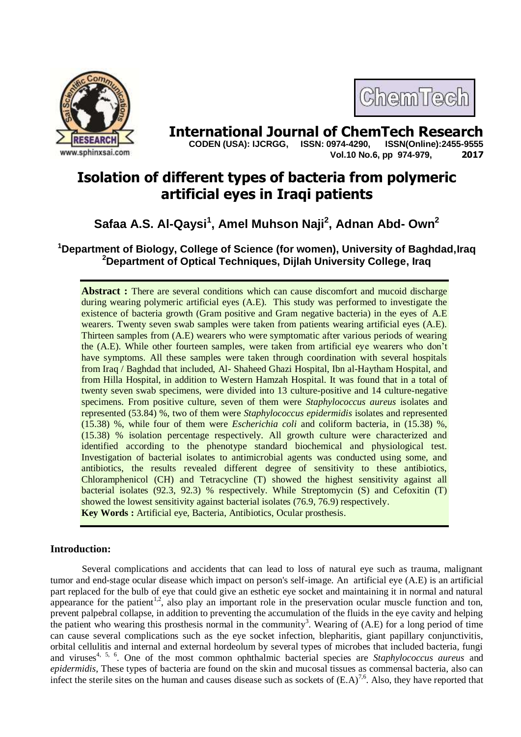



**International Journal of ChemTech Research Copen (USA): IJCRGG. ISSN: 0974-4290. ISSN(Online):2455-9555 CODEN (USA): IJCRGG, ISSN: 0974-4290, Vol.10 No.6, pp 974-979, 2017**

# **Isolation of different types of bacteria from polymeric artificial eyes in Iraqi patients**

# **Safaa A.S. Al-Qaysi<sup>1</sup> , Amel Muhson Naji<sup>2</sup> , Adnan Abd- Own<sup>2</sup>**

## **<sup>1</sup>Department of Biology, College of Science (for women), University of Baghdad,Iraq <sup>2</sup>Department of Optical Techniques, Dijlah University College, Iraq**

Abstract : There are several conditions which can cause discomfort and mucoid discharge during wearing polymeric artificial eyes (A.E). This study was performed to investigate the existence of bacteria growth (Gram positive and Gram negative bacteria) in the eyes of A.E wearers. Twenty seven swab samples were taken from patients wearing artificial eyes (A.E). Thirteen samples from (A.E) wearers who were symptomatic after various periods of wearing the (A.E). While other fourteen samples, were taken from artificial eye wearers who don't have symptoms. All these samples were taken through coordination with several hospitals from Iraq / Baghdad that included, Al- Shaheed Ghazi Hospital, Ibn al-Haytham Hospital, and from Hilla Hospital, in addition to Western Hamzah Hospital. It was found that in a total of twenty seven swab specimens, were divided into 13 culture-positive and 14 culture-negative specimens. From positive culture, seven of them were *Staphylococcus aureus* isolates and represented (53.84) %, two of them were *Staphylococcus epidermidis* isolates and represented (15.38) %, while four of them were *Escherichia coli* and coliform bacteria, in (15.38) %, (15.38) % isolation percentage respectively. All growth culture were characterized and identified according to the phenotype standard biochemical and physiological test. Investigation of bacterial isolates to antimicrobial agents was conducted using some, and antibiotics, the results revealed different degree of sensitivity to these antibiotics, Chloramphenicol (CH) and Tetracycline (T) showed the highest sensitivity against all bacterial isolates (92.3, 92.3) % respectively. While Streptomycin (S) and Cefoxitin (T) showed the lowest sensitivity against bacterial isolates (76.9, 76.9) respectively. **Key Words :** Artificial eye, Bacteria, Antibiotics, Ocular prosthesis.

## **Introduction:**

Several complications and accidents that can lead to loss of natural eye such as trauma, malignant tumor and end-stage ocular disease which impact on person's self-image. An artificial eye (A.E) is an artificial part replaced for the bulb of eye that could give an esthetic eye socket and maintaining it in normal and natural appearance for the patient<sup>1,2</sup>, also play an important role in the preservation ocular muscle function and ton, prevent palpebral collapse, in addition to preventing the accumulation of the fluids in the eye cavity and helping the patient who wearing this prosthesis normal in the community<sup>3</sup>. Wearing of  $(A.E)$  for a long period of time can cause several complications such as the eye socket infection, blepharitis, giant papillary conjunctivitis, orbital cellulitis and internal and external hordeolum by several types of microbes that included bacteria, fungi and viruses<sup>4, 5, 6</sup>. One of the most common ophthalmic bacterial species are *Staphylococcus aureus* and *epidermidis*, These types of bacteria are found on the skin and mucosal tissues as commensal bacteria, also can infect the sterile sites on the human and causes disease such as sockets of  $(E.A)^{7,6}$ . Also, they have reported that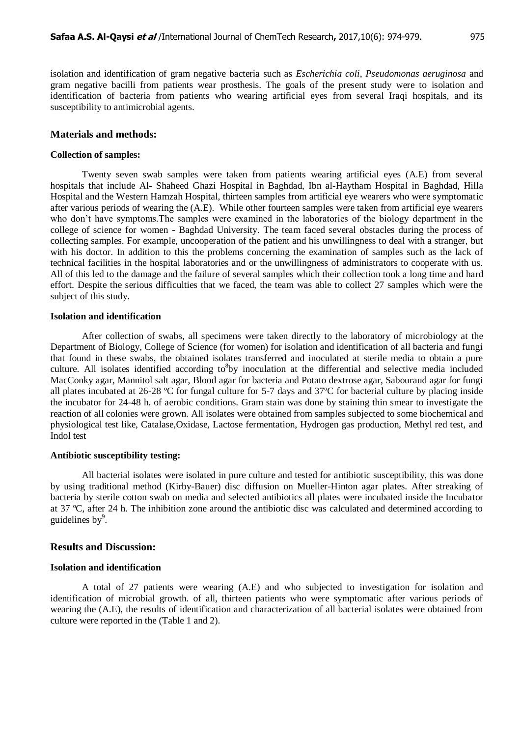isolation and identification of gram negative bacteria such as *Escherichia coli*, *Pseudomonas aeruginosa* and gram negative bacilli from patients wear prosthesis. The goals of the present study were to isolation and identification of bacteria from patients who wearing artificial eyes from several Iraqi hospitals, and its susceptibility to antimicrobial agents.

#### **Materials and methods:**

#### **Collection of samples:**

Twenty seven swab samples were taken from patients wearing artificial eyes (A.E) from several hospitals that include Al- Shaheed Ghazi Hospital in Baghdad, Ibn al-Haytham Hospital in Baghdad, Hilla Hospital and the Western Hamzah Hospital, thirteen samples from artificial eye wearers who were symptomatic after various periods of wearing the (A.E). While other fourteen samples were taken from artificial eye wearers who don't have symptoms.The samples were examined in the laboratories of the biology department in the college of science for women - Baghdad University. The team faced several obstacles during the process of collecting samples. For example, uncooperation of the patient and his unwillingness to deal with a stranger, but with his doctor. In addition to this the problems concerning the examination of samples such as the lack of technical facilities in the hospital laboratories and or the unwillingness of administrators to cooperate with us. All of this led to the damage and the failure of several samples which their collection took a long time and hard effort. Despite the serious difficulties that we faced, the team was able to collect 27 samples which were the subject of this study.

#### **Isolation and identification**

After collection of swabs, all specimens were taken directly to the laboratory of microbiology at the Department of Biology, College of Science (for women) for isolation and identification of all bacteria and fungi that found in these swabs, the obtained isolates transferred and inoculated at sterile media to obtain a pure culture. All isolates identified according to by inoculation at the differential and selective media included MacConky agar, Mannitol salt agar, Blood agar for bacteria and Potato dextrose agar, Sabouraud agar for fungi all plates incubated at 26-28 ºC for fungal culture for 5-7 days and 37ºC for bacterial culture by placing inside the incubator for 24-48 h. of aerobic conditions. Gram stain was done by staining thin smear to investigate the reaction of all colonies were grown. All isolates were obtained from samples subjected to some biochemical and physiological test like, Catalase,Oxidase, Lactose fermentation, Hydrogen gas production, Methyl red test, and Indol test

#### **Antibiotic susceptibility testing:**

All bacterial isolates were isolated in pure culture and tested for antibiotic susceptibility, this was done by using traditional method (Kirby-Bauer) disc diffusion on Mueller-Hinton agar plates. After streaking of bacteria by sterile cotton swab on media and selected antibiotics all plates were incubated inside the Incubator at 37 ºC, after 24 h. The inhibition zone around the antibiotic disc was calculated and determined according to guidelines by $9$ .

#### **Results and Discussion:**

#### **Isolation and identification**

A total of 27 patients were wearing (A.E) and who subjected to investigation for isolation and identification of microbial growth. of all, thirteen patients who were symptomatic after various periods of wearing the (A.E), the results of identification and characterization of all bacterial isolates were obtained from culture were reported in the (Table 1 and 2).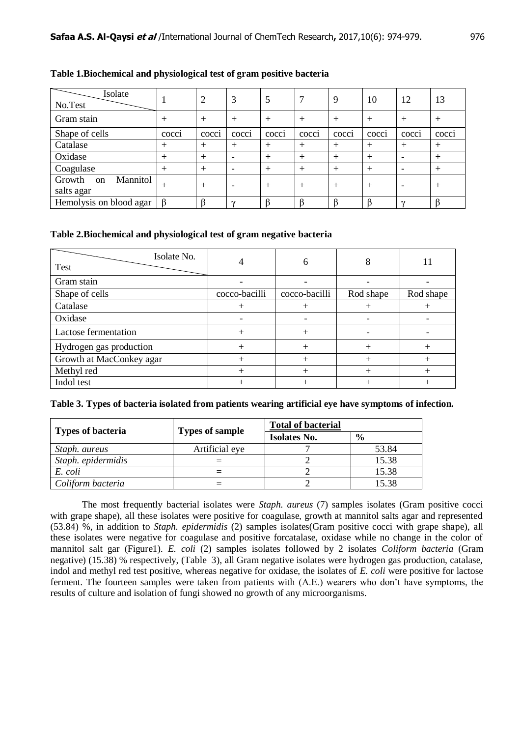| Isolate<br>No.Test                                |                 | 2                | 3              |        |                  | 9                | 10                 | 12                 | 13     |
|---------------------------------------------------|-----------------|------------------|----------------|--------|------------------|------------------|--------------------|--------------------|--------|
| Gram stain                                        | $\overline{+}$  | $^{+}$           | $^{+}$         | $^{+}$ | $^{+}$           | $^{+}$           | $^{+}$             | $^{+}$             | $^{+}$ |
| Shape of cells                                    | cocc1           | $\cdot$<br>cocci | COCC1          | cocci  | $\cdot$<br>cocci | $\cdot$<br>COCC1 | $\bullet$<br>cocc1 | $\bullet$<br>cocc1 | cocci  |
| Catalase                                          | $^{+}$          | $^{+}$           | $\overline{+}$ | $\pm$  | $^{+}$           | $\,+\,$          | $^+$               | $^{+}$             | $+$    |
| Oxidase                                           | $^{+}$          | $^{+}$           |                | $\pm$  | $^{+}$           | $^{+}$           | $^{+}$             |                    | $+$    |
| Coagulase                                         | $^{+}$          | $^{+}$           |                | $^+$   | $^{+}$           | $^{+}$           | $^{+}$             | ۰                  | $^{+}$ |
| Mannitol<br>Growth<br><sub>on</sub><br>salts agar | $^{\mathrm{+}}$ | $^{+}$           |                | $\pm$  | $^{+}$           | $^{+}$           | $^+$               |                    | $\pm$  |
| Hemolysis on blood agar                           | $\beta$         |                  | $\sim$         |        |                  |                  |                    | $\sim$             |        |

## **Table 1.Biochemical and physiological test of gram positive bacteria**

## **Table 2.Biochemical and physiological test of gram negative bacteria**

| Isolate No.<br>Test      | 4             | 6             | 8         | 11        |
|--------------------------|---------------|---------------|-----------|-----------|
| Gram stain               |               |               |           |           |
| Shape of cells           | cocco-bacilli | cocco-bacilli | Rod shape | Rod shape |
| Catalase                 |               |               | $^+$      |           |
| Oxidase                  |               |               |           |           |
| Lactose fermentation     | $\, +$        |               |           |           |
| Hydrogen gas production  |               |               | $^{+}$    |           |
| Growth at MacConkey agar |               |               | $^{+}$    |           |
| Methyl red               |               |               | $^+$      |           |
| Indol test               |               |               |           |           |

### **Table 3. Types of bacteria isolated from patients wearing artificial eye have symptoms of infection.**

| <b>Types of bacteria</b> | <b>Types of sample</b> | <b>Total of bacterial</b> |               |  |  |
|--------------------------|------------------------|---------------------------|---------------|--|--|
|                          |                        | <b>Isolates No.</b>       | $\frac{6}{6}$ |  |  |
| Staph. aureus            | Artificial eye         |                           | 53.84         |  |  |
| Staph. epidermidis       |                        |                           | 15.38         |  |  |
| E. coli                  |                        |                           | 15.38         |  |  |
| Coliform bacteria        |                        |                           | 15.38         |  |  |

The most frequently bacterial isolates were *Staph. aureus* (7) samples isolates (Gram positive cocci with grape shape), all these isolates were positive for coagulase, growth at mannitol salts agar and represented (53.84) %, in addition to *Staph. epidermidis* (2) samples isolates(Gram positive cocci with grape shape), all these isolates were negative for coagulase and positive forcatalase, oxidase while no change in the color of mannitol salt gar (Figure1). *E. coli* (2) samples isolates followed by 2 isolates *Coliform bacteria* (Gram negative) (15.38) % respectively, (Table 3), all Gram negative isolates were hydrogen gas production, catalase, indol and methyl red test positive, whereas negative for oxidase, the isolates of *E. coli* were positive for lactose ferment. The fourteen samples were taken from patients with (A.E.) wearers who don't have symptoms, the results of culture and isolation of fungi showed no growth of any microorganisms.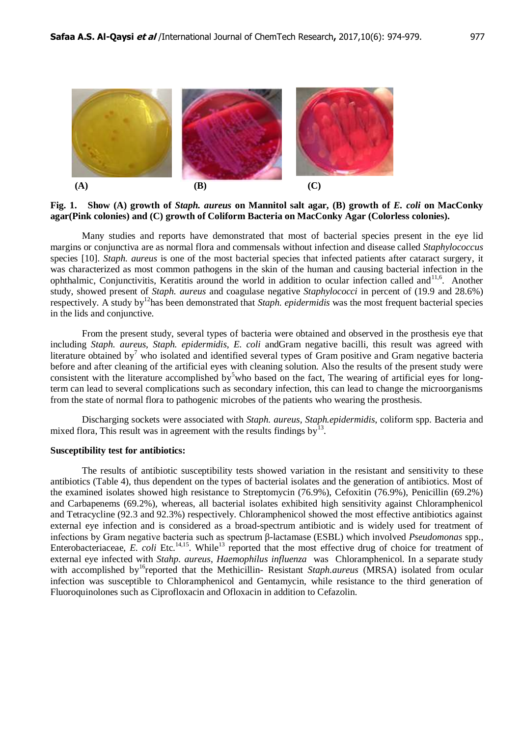

**Fig. 1. Show (A) growth of** *Staph. aureus* **on Mannitol salt agar, (B) growth of** *E. coli* **on MacConky agar(Pink colonies) and (C) growth of Coliform Bacteria on MacConky Agar (Colorless colonies).**

Many studies and reports have demonstrated that most of bacterial species present in the eye lid margins or conjunctiva are as normal flora and commensals without infection and disease called *Staphylococcus* species [10]. *Staph. aureus* is one of the most bacterial species that infected patients after cataract surgery, it was characterized as most common pathogens in the skin of the human and causing bacterial infection in the ophthalmic, Conjunctivitis, Keratitis around the world in addition to ocular infection called and<sup>11,6</sup>. Another study, showed present of *Staph. aureus* and coagulase negative *Staphylococci* in percent of (19.9 and 28.6%) respectively. A study by<sup>12</sup>has been demonstrated that *Staph. epidermidis* was the most frequent bacterial species in the lids and conjunctive.

From the present study, several types of bacteria were obtained and observed in the prosthesis eye that including *Staph. aureus, Staph. epidermidis, E. coli* andGram negative bacilli, this result was agreed with literature obtained by<sup>7</sup> who isolated and identified several types of Gram positive and Gram negative bacteria before and after cleaning of the artificial eyes with cleaning solution. Also the results of the present study were consistent with the literature accomplished by<sup>5</sup>who based on the fact, The wearing of artificial eyes for longterm can lead to several complications such as secondary infection, this can lead to change the microorganisms from the state of normal flora to pathogenic microbes of the patients who wearing the prosthesis.

Discharging sockets were associated with *Staph. aureus, Staph.epidermidis*, coliform spp. Bacteria and mixed flora, This result was in agreement with the results findings by<sup>13</sup>.

### **Susceptibility test for antibiotics:**

The results of antibiotic susceptibility tests showed variation in the resistant and sensitivity to these antibiotics (Table 4), thus dependent on the types of bacterial isolates and the generation of antibiotics. Most of the examined isolates showed high resistance to Streptomycin (76.9%), Cefoxitin (76.9%), Penicillin (69.2%) and Carbapenems (69.2%), whereas, all bacterial isolates exhibited high sensitivity against Chloramphenicol and Tetracycline (92.3 and 92.3%) respectively. Chloramphenicol showed the most effective antibiotics against external eye infection and is considered as a broad-spectrum antibiotic and is widely used for treatment of infections by Gram negative bacteria such as spectrum β-lactamase (ESBL) which involved *Pseudomonas* spp., Enterobacteriaceae, *E. coli* Etc.<sup>14,15</sup>. While<sup>13</sup> reported that the most effective drug of choice for treatment of external eye infected with *Stahp. aureus*, *Haemophilus influenza* was Chloramphenicol. In a separate study with accomplished by<sup>16</sup>reported that the Methicillin- Resistant *Staph.aureus* (MRSA) isolated from ocular infection was susceptible to Chloramphenicol and Gentamycin, while resistance to the third generation of Fluoroquinolones such as Ciprofloxacin and Ofloxacin in addition to Cefazolin.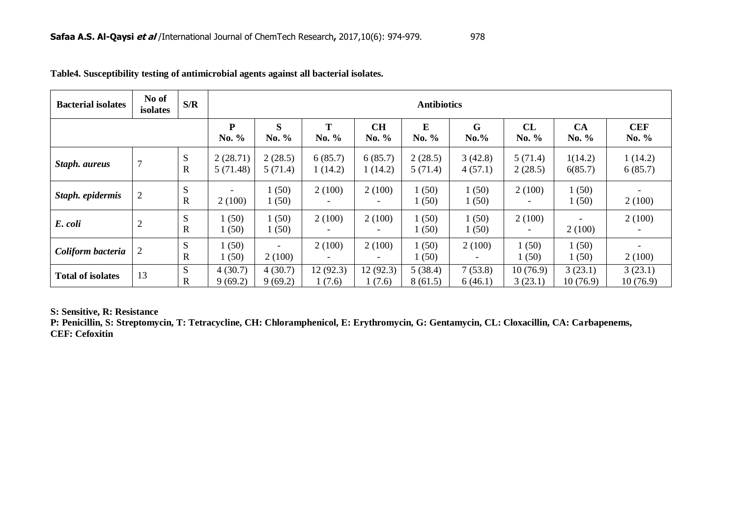| <b>Bacterial isolates</b> | No of<br>isolates | S/R              | <b>Antibiotics</b>   |                    |                                    |                                    |                    |                    |                     |                     |                       |
|---------------------------|-------------------|------------------|----------------------|--------------------|------------------------------------|------------------------------------|--------------------|--------------------|---------------------|---------------------|-----------------------|
|                           |                   |                  | P<br>No. %           | S<br>No. %         | т<br>No. %                         | <b>CH</b><br>No. %                 | ${\bf E}$<br>No. % | G<br>$No. \%$      | CL<br>No. %         | CA<br>No. %         | <b>CEF</b><br>No. $%$ |
| Staph. aureus             | $\overline{7}$    | S<br>$\mathbf R$ | 2(28.71)<br>5(71.48) | 2(28.5)<br>5(71.4) | 6(85.7)<br>1(14.2)                 | 6(85.7)<br>1(14.2)                 | 2(28.5)<br>5(71.4) | 3(42.8)<br>4(57.1) | 5(71.4)<br>2(28.5)  | 1(14.2)<br>6(85.7)  | 1(14.2)<br>6(85.7)    |
| Staph. epidermis          | $\overline{2}$    | S<br>$\mathbf R$ | 2(100)               | 1(50)<br>1(50)     | 2(100)                             | 2(100)<br>$\qquad \qquad$          | 1(50)<br>1(50)     | 1(50)<br>1(50)     | 2(100)              | 1(50)<br>1(50)      | 2(100)                |
| E. coli                   | $\mathfrak{2}$    | S<br>$\mathbf R$ | (50)<br>(50)         | 1(50)<br>1(50)     | 2(100)                             | 2(100)<br>$\qquad \qquad$          | 1(50)<br>1(50)     | 1(50)<br>1(50)     | 2(100)              | 2(100)              | 2(100)                |
| Coliform bacteria         | 2                 | S<br>$\mathbf R$ | (50)<br>(50)         | ۰<br>2(100)        | 2(100)<br>$\overline{\phantom{a}}$ | 2(100)<br>$\overline{\phantom{a}}$ | 1(50)<br>1(50)     | 2(100)             | (50)<br>(50)        | 1(50)<br>1(50)      | 2(100)                |
| <b>Total of isolates</b>  | 13                | S<br>$\mathbf R$ | 4(30.7)<br>9(69.2)   | 4(30.7)<br>9(69.2) | 12 (92.3)<br>1(7.6)                | 12(92.3)<br>(7.6)                  | 5(38.4)<br>8(61.5) | 7(53.8)<br>6(46.1) | 10(76.9)<br>3(23.1) | 3(23.1)<br>10(76.9) | 3(23.1)<br>10(76.9)   |

|  |  | Table4. Susceptibility testing of antimicrobial agents against all bacterial isolates. |
|--|--|----------------------------------------------------------------------------------------|
|  |  |                                                                                        |

**S: Sensitive, R: Resistance**

**P: Penicillin, S: Streptomycin, T: Tetracycline, CH: Chloramphenicol, E: Erythromycin, G: Gentamycin, CL: Cloxacillin, CA: Carbapenems, CEF: Cefoxitin**